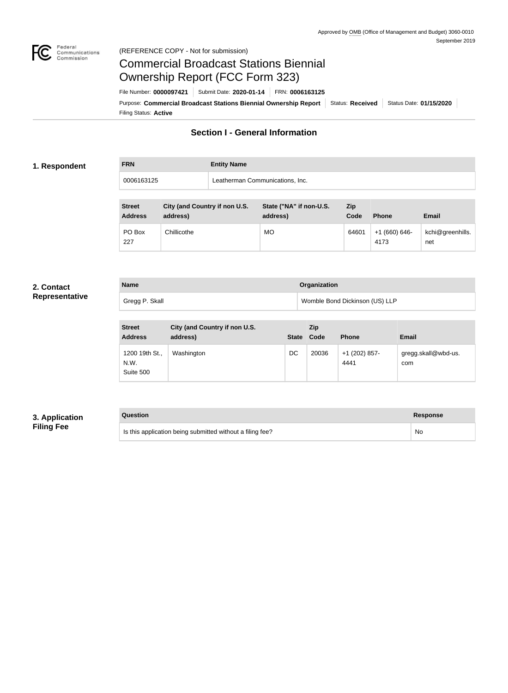

#### Federal<br>Communications<br>Commission (REFERENCE COPY - Not for submission)

# Commercial Broadcast Stations Biennial Ownership Report (FCC Form 323)

Filing Status: **Active** Purpose: Commercial Broadcast Stations Biennial Ownership Report Status: Received Status Date: 01/15/2020 File Number: **0000097421** Submit Date: **2020-01-14** FRN: **0006163125**

# **Section I - General Information**

#### **1. Respondent**

**FRN Entity Name** 0006163125 Leatherman Communications, Inc.

| <b>Street</b><br><b>Address</b> | City (and Country if non U.S.<br>address) | State ("NA" if non-U.S.<br>address) | <b>Zip</b><br>Code | <b>Phone</b>          | <b>Email</b>            |
|---------------------------------|-------------------------------------------|-------------------------------------|--------------------|-----------------------|-------------------------|
| PO Box<br>227                   | Chillicothe                               | <b>MO</b>                           | 64601              | $+1(660)646-$<br>4173 | kchi@greenhills.<br>net |

#### **2. Contact Representative**

| <b>Name</b>    | Organization                   |
|----------------|--------------------------------|
| Gregg P. Skall | Womble Bond Dickinson (US) LLP |

| <b>Street</b><br><b>Address</b>     | City (and Country if non U.S.<br>address) | <b>State</b> | <b>Zip</b><br>Code | <b>Phone</b>          | <b>Email</b>               |
|-------------------------------------|-------------------------------------------|--------------|--------------------|-----------------------|----------------------------|
| 1200 19th St.,<br>N.W.<br>Suite 500 | Washington                                | DC           | 20036              | +1 (202) 857-<br>4441 | gregg.skall@wbd-us.<br>com |

# **3. Application Filing Fee**

# **Question Response**

Is this application being submitted without a filing fee? No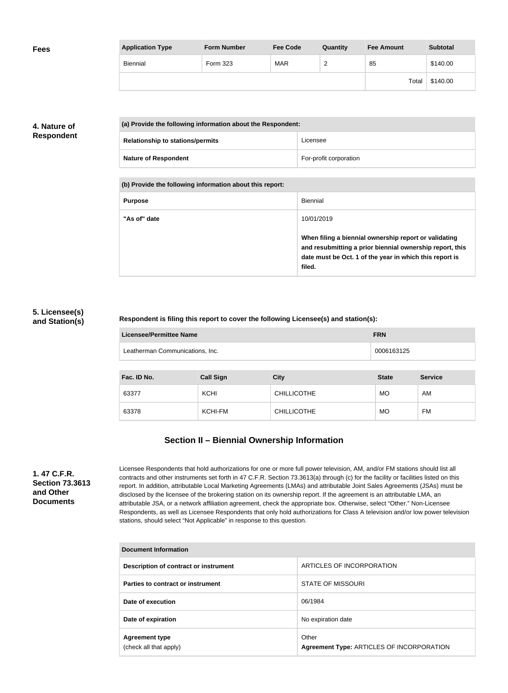| <b>Fees</b> | <b>Application Type</b> | <b>Form Number</b> | <b>Fee Code</b> | Quantity      | <b>Fee Amount</b> | <b>Subtotal</b> |
|-------------|-------------------------|--------------------|-----------------|---------------|-------------------|-----------------|
|             | Biennial                | Form 323           | <b>MAR</b>      | ີ<br><u>_</u> | 85                | \$140.00        |
|             |                         |                    |                 |               | Total             | \$140.00        |

# **4. Nature of Respondent**

| (a) Provide the following information about the Respondent: |                        |
|-------------------------------------------------------------|------------------------|
| <b>Relationship to stations/permits</b>                     | Licensee               |
| <b>Nature of Respondent</b>                                 | For-profit corporation |

**(b) Provide the following information about this report:**

| <b>Purpose</b> | Biennial                                                                                                                                                                               |
|----------------|----------------------------------------------------------------------------------------------------------------------------------------------------------------------------------------|
| "As of" date   | 10/01/2019                                                                                                                                                                             |
|                | When filing a biennial ownership report or validating<br>and resubmitting a prior biennial ownership report, this<br>date must be Oct. 1 of the year in which this report is<br>filed. |

### **5. Licensee(s) and Station(s)**

#### **Respondent is filing this report to cover the following Licensee(s) and station(s):**

| Licensee/Permittee Name         | <b>FRN</b> |
|---------------------------------|------------|
| Leatherman Communications, Inc. | 0006163125 |

| Fac. ID No. | <b>Call Sign</b> | <b>City</b>        | <b>State</b> | <b>Service</b> |
|-------------|------------------|--------------------|--------------|----------------|
| 63377       | <b>KCHI</b>      | <b>CHILLICOTHE</b> | <b>MO</b>    | AM             |
| 63378       | KCHI-FM          | <b>CHILLICOTHE</b> | <b>MO</b>    | <b>FM</b>      |

# **Section II – Biennial Ownership Information**

**1. 47 C.F.R. Section 73.3613 and Other Documents**

Licensee Respondents that hold authorizations for one or more full power television, AM, and/or FM stations should list all contracts and other instruments set forth in 47 C.F.R. Section 73.3613(a) through (c) for the facility or facilities listed on this report. In addition, attributable Local Marketing Agreements (LMAs) and attributable Joint Sales Agreements (JSAs) must be disclosed by the licensee of the brokering station on its ownership report. If the agreement is an attributable LMA, an attributable JSA, or a network affiliation agreement, check the appropriate box. Otherwise, select "Other." Non-Licensee Respondents, as well as Licensee Respondents that only hold authorizations for Class A television and/or low power television stations, should select "Not Applicable" in response to this question.

| Document Information                            |                                                    |  |
|-------------------------------------------------|----------------------------------------------------|--|
| Description of contract or instrument           | ARTICLES OF INCORPORATION                          |  |
| Parties to contract or instrument               | <b>STATE OF MISSOURI</b>                           |  |
| Date of execution                               | 06/1984                                            |  |
| Date of expiration                              | No expiration date                                 |  |
| <b>Agreement type</b><br>(check all that apply) | Other<br>Agreement Type: ARTICLES OF INCORPORATION |  |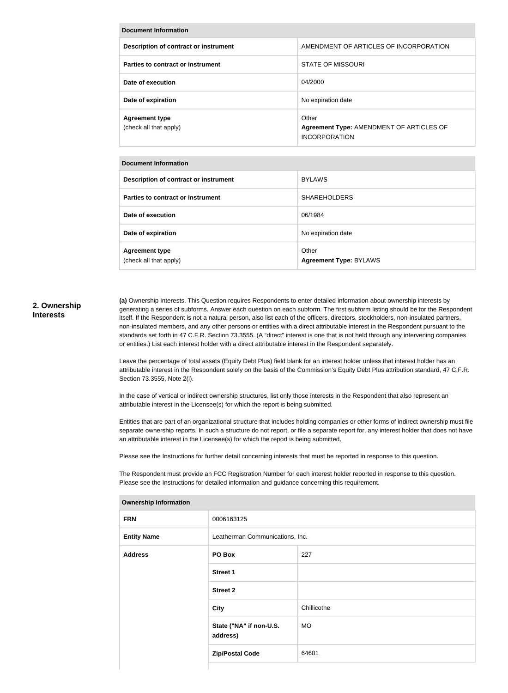| <b>Document Information</b>                     |                                                                           |  |
|-------------------------------------------------|---------------------------------------------------------------------------|--|
| Description of contract or instrument           | AMENDMENT OF ARTICLES OF INCORPORATION                                    |  |
| Parties to contract or instrument               | <b>STATE OF MISSOURI</b>                                                  |  |
| Date of execution                               | 04/2000                                                                   |  |
| Date of expiration                              | No expiration date                                                        |  |
| <b>Agreement type</b><br>(check all that apply) | Other<br>Agreement Type: AMENDMENT OF ARTICLES OF<br><b>INCORPORATION</b> |  |

#### **Document Information**

| Description of contract or instrument           | <b>BYLAWS</b>                          |
|-------------------------------------------------|----------------------------------------|
| Parties to contract or instrument               | <b>SHAREHOLDERS</b>                    |
| Date of execution                               | 06/1984                                |
| Date of expiration                              | No expiration date                     |
| <b>Agreement type</b><br>(check all that apply) | Other<br><b>Agreement Type: BYLAWS</b> |

#### **2. Ownership Interests**

**(a)** Ownership Interests. This Question requires Respondents to enter detailed information about ownership interests by generating a series of subforms. Answer each question on each subform. The first subform listing should be for the Respondent itself. If the Respondent is not a natural person, also list each of the officers, directors, stockholders, non-insulated partners, non-insulated members, and any other persons or entities with a direct attributable interest in the Respondent pursuant to the standards set forth in 47 C.F.R. Section 73.3555. (A "direct" interest is one that is not held through any intervening companies or entities.) List each interest holder with a direct attributable interest in the Respondent separately.

Leave the percentage of total assets (Equity Debt Plus) field blank for an interest holder unless that interest holder has an attributable interest in the Respondent solely on the basis of the Commission's Equity Debt Plus attribution standard, 47 C.F.R. Section 73.3555, Note 2(i).

In the case of vertical or indirect ownership structures, list only those interests in the Respondent that also represent an attributable interest in the Licensee(s) for which the report is being submitted.

Entities that are part of an organizational structure that includes holding companies or other forms of indirect ownership must file separate ownership reports. In such a structure do not report, or file a separate report for, any interest holder that does not have an attributable interest in the Licensee(s) for which the report is being submitted.

Please see the Instructions for further detail concerning interests that must be reported in response to this question.

The Respondent must provide an FCC Registration Number for each interest holder reported in response to this question. Please see the Instructions for detailed information and guidance concerning this requirement.

| <b>FRN</b>         | 0006163125                          |             |
|--------------------|-------------------------------------|-------------|
| <b>Entity Name</b> | Leatherman Communications, Inc.     |             |
| <b>Address</b>     | PO Box                              | 227         |
|                    | <b>Street 1</b>                     |             |
|                    | <b>Street 2</b>                     |             |
|                    | City                                | Chillicothe |
|                    | State ("NA" if non-U.S.<br>address) | MO          |
|                    | <b>Zip/Postal Code</b>              | 64601       |
|                    |                                     |             |

**Ownership Information**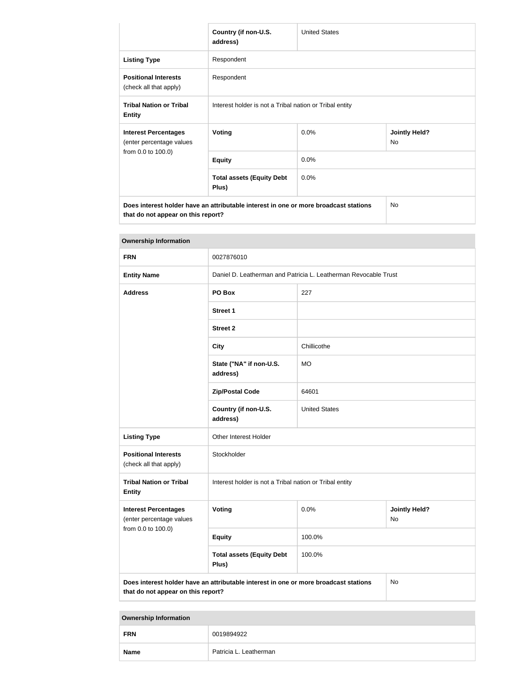|                                                                                                                            | Country (if non-U.S.<br>address)                        | <b>United States</b> |                            |
|----------------------------------------------------------------------------------------------------------------------------|---------------------------------------------------------|----------------------|----------------------------|
| <b>Listing Type</b>                                                                                                        | Respondent                                              |                      |                            |
| <b>Positional Interests</b><br>(check all that apply)                                                                      | Respondent                                              |                      |                            |
| <b>Tribal Nation or Tribal</b><br><b>Entity</b>                                                                            | Interest holder is not a Tribal nation or Tribal entity |                      |                            |
| <b>Interest Percentages</b><br>(enter percentage values<br>from 0.0 to 100.0)                                              | <b>Voting</b>                                           | 0.0%                 | <b>Jointly Held?</b><br>No |
|                                                                                                                            | <b>Equity</b>                                           | 0.0%                 |                            |
|                                                                                                                            | <b>Total assets (Equity Debt</b><br>Plus)               | 0.0%                 |                            |
| Does interest holder have an attributable interest in one or more broadcast stations<br>that do not appear on this report? |                                                         |                      | No.                        |

| <b>Ownership Information</b>                                                                                                     |                                                                 |                      |                            |
|----------------------------------------------------------------------------------------------------------------------------------|-----------------------------------------------------------------|----------------------|----------------------------|
| <b>FRN</b>                                                                                                                       | 0027876010                                                      |                      |                            |
| <b>Entity Name</b>                                                                                                               | Daniel D. Leatherman and Patricia L. Leatherman Revocable Trust |                      |                            |
| <b>Address</b>                                                                                                                   | PO Box                                                          | 227                  |                            |
|                                                                                                                                  | <b>Street 1</b>                                                 |                      |                            |
|                                                                                                                                  | <b>Street 2</b>                                                 |                      |                            |
|                                                                                                                                  | <b>City</b>                                                     | Chillicothe          |                            |
|                                                                                                                                  | State ("NA" if non-U.S.<br>address)                             | <b>MO</b>            |                            |
|                                                                                                                                  | <b>Zip/Postal Code</b>                                          | 64601                |                            |
|                                                                                                                                  | Country (if non-U.S.<br>address)                                | <b>United States</b> |                            |
| <b>Listing Type</b>                                                                                                              | <b>Other Interest Holder</b>                                    |                      |                            |
| <b>Positional Interests</b><br>(check all that apply)                                                                            | Stockholder                                                     |                      |                            |
| <b>Tribal Nation or Tribal</b><br><b>Entity</b>                                                                                  | Interest holder is not a Tribal nation or Tribal entity         |                      |                            |
| <b>Interest Percentages</b><br>(enter percentage values<br>from 0.0 to 100.0)                                                    | <b>Voting</b>                                                   | 0.0%                 | <b>Jointly Held?</b><br>No |
|                                                                                                                                  | <b>Equity</b>                                                   | 100.0%               |                            |
|                                                                                                                                  | <b>Total assets (Equity Debt</b><br>Plus)                       | 100.0%               |                            |
| Does interest holder have an attributable interest in one or more broadcast stations<br>No<br>that do not appear on this report? |                                                                 |                      |                            |

**Ownership Information**

| ___<br><b>FRN</b> | 0019894922             |
|-------------------|------------------------|
| <b>Name</b>       | Patricia L. Leatherman |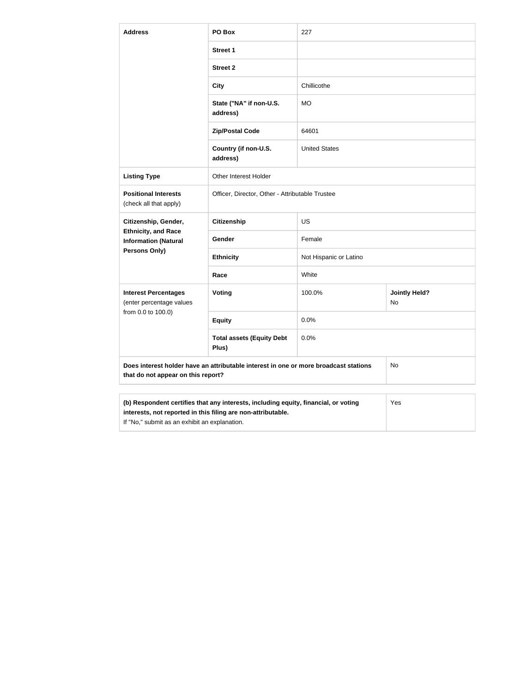| <b>Address</b>                                            | PO Box                                                                               | 227                    |                            |
|-----------------------------------------------------------|--------------------------------------------------------------------------------------|------------------------|----------------------------|
|                                                           | <b>Street 1</b>                                                                      |                        |                            |
|                                                           | <b>Street 2</b>                                                                      |                        |                            |
|                                                           | <b>City</b>                                                                          | Chillicothe            |                            |
|                                                           | State ("NA" if non-U.S.<br>address)                                                  | <b>MO</b>              |                            |
|                                                           | <b>Zip/Postal Code</b>                                                               | 64601                  |                            |
|                                                           | Country (if non-U.S.<br>address)                                                     | <b>United States</b>   |                            |
| <b>Listing Type</b>                                       | <b>Other Interest Holder</b>                                                         |                        |                            |
| <b>Positional Interests</b><br>(check all that apply)     | Officer, Director, Other - Attributable Trustee                                      |                        |                            |
| Citizenship, Gender,                                      | <b>Citizenship</b>                                                                   | <b>US</b>              |                            |
| <b>Ethnicity, and Race</b><br><b>Information (Natural</b> | Gender                                                                               | Female                 |                            |
| Persons Only)                                             | <b>Ethnicity</b>                                                                     | Not Hispanic or Latino |                            |
|                                                           | Race                                                                                 | White                  |                            |
| <b>Interest Percentages</b><br>(enter percentage values   | Voting                                                                               | 100.0%                 | <b>Jointly Held?</b><br>No |
| from 0.0 to 100.0)                                        | <b>Equity</b>                                                                        | 0.0%                   |                            |
|                                                           | <b>Total assets (Equity Debt</b><br>Plus)                                            | 0.0%                   |                            |
| that do not appear on this report?                        | Does interest holder have an attributable interest in one or more broadcast stations |                        | No                         |
|                                                           | (b) Respondent certifies that any interests, including equity, financial, or voting  |                        | Yes                        |

| interests, not reported in this filing are non-attributable. |
|--------------------------------------------------------------|
|                                                              |

If "No," submit as an exhibit an explanation.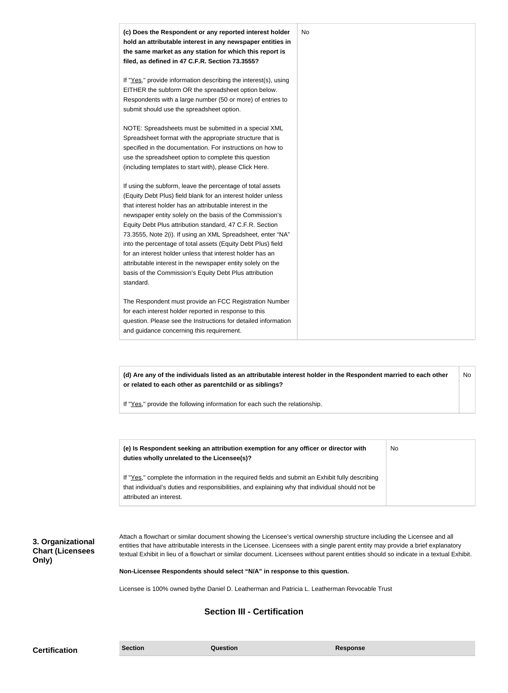| (c) Does the Respondent or any reported interest holder<br>hold an attributable interest in any newspaper entities in<br>the same market as any station for which this report is<br>filed, as defined in 47 C.F.R. Section 73.3555?                                                                                                                                                                                                                                                                                                                                                                                                              | No |
|--------------------------------------------------------------------------------------------------------------------------------------------------------------------------------------------------------------------------------------------------------------------------------------------------------------------------------------------------------------------------------------------------------------------------------------------------------------------------------------------------------------------------------------------------------------------------------------------------------------------------------------------------|----|
| If "Yes," provide information describing the interest(s), using<br>EITHER the subform OR the spreadsheet option below.<br>Respondents with a large number (50 or more) of entries to<br>submit should use the spreadsheet option.                                                                                                                                                                                                                                                                                                                                                                                                                |    |
| NOTE: Spreadsheets must be submitted in a special XML<br>Spreadsheet format with the appropriate structure that is<br>specified in the documentation. For instructions on how to<br>use the spreadsheet option to complete this question<br>(including templates to start with), please Click Here.                                                                                                                                                                                                                                                                                                                                              |    |
| If using the subform, leave the percentage of total assets<br>(Equity Debt Plus) field blank for an interest holder unless<br>that interest holder has an attributable interest in the<br>newspaper entity solely on the basis of the Commission's<br>Equity Debt Plus attribution standard, 47 C.F.R. Section<br>73.3555, Note 2(i). If using an XML Spreadsheet, enter "NA"<br>into the percentage of total assets (Equity Debt Plus) field<br>for an interest holder unless that interest holder has an<br>attributable interest in the newspaper entity solely on the<br>basis of the Commission's Equity Debt Plus attribution<br>standard. |    |
| The Respondent must provide an FCC Registration Number<br>for each interest holder reported in response to this<br>question. Please see the Instructions for detailed information<br>and guidance concerning this requirement.                                                                                                                                                                                                                                                                                                                                                                                                                   |    |

**(d) Are any of the individuals listed as an attributable interest holder in the Respondent married to each other or related to each other as parentchild or as siblings?** No

If "Yes," provide the following information for each such the relationship.

| (e) Is Respondent seeking an attribution exemption for any officer or director with<br>duties wholly unrelated to the Licensee(s)?                                                                                             | No |
|--------------------------------------------------------------------------------------------------------------------------------------------------------------------------------------------------------------------------------|----|
| If "Yes," complete the information in the required fields and submit an Exhibit fully describing<br>that individual's duties and responsibilities, and explaining why that individual should not be<br>attributed an interest. |    |

**3. Organizational Chart (Licensees Only)**

Attach a flowchart or similar document showing the Licensee's vertical ownership structure including the Licensee and all entities that have attributable interests in the Licensee. Licensees with a single parent entity may provide a brief explanatory textual Exhibit in lieu of a flowchart or similar document. Licensees without parent entities should so indicate in a textual Exhibit.

**Non-Licensee Respondents should select "N/A" in response to this question.**

Licensee is 100% owned bythe Daniel D. Leatherman and Patricia L. Leatherman Revocable Trust

# **Section III - Certification**

**Certification Section Section Question** *Question* **Response**